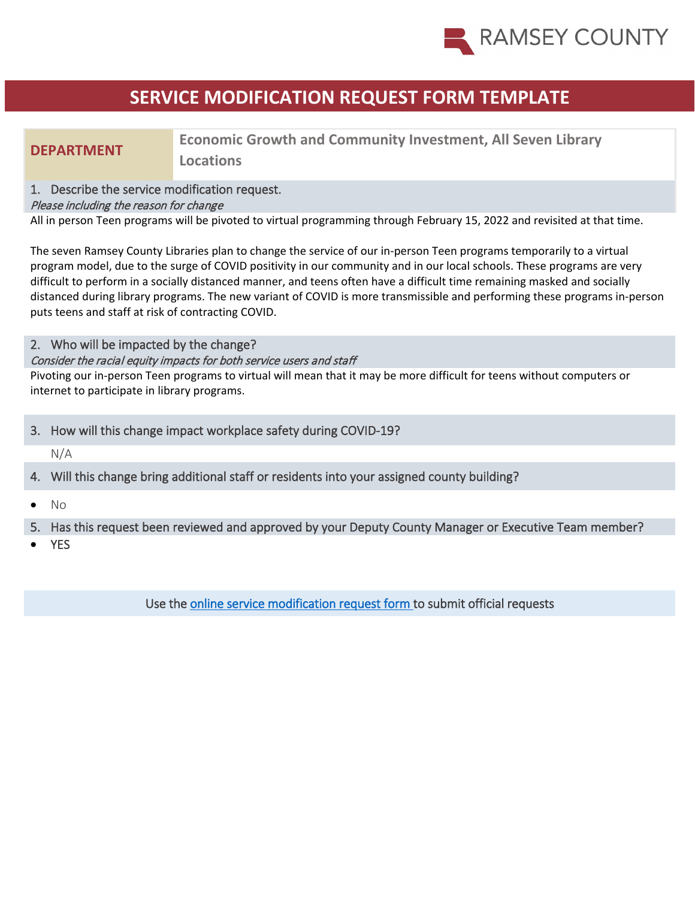

# **SERVICE MODIFICATION REQUEST FORM TEMPLATE**

## **DEPARTMENT Economic Growth and Community Investment, All Seven Library Locations**

### 1. Describe the service modification request.

### Please including the reason for change

All in person Teen programs will be pivoted to virtual programming through February 15, 2022 and revisited at that time.

The seven Ramsey County Libraries plan to change the service of our in-person Teen programs temporarily to a virtual program model, due to the surge of COVID positivity in our community and in our local schools. These programs are very difficult to perform in a socially distanced manner, and teens often have a difficult time remaining masked and socially distanced during library programs. The new variant of COVID is more transmissible and performing these programs in-person puts teens and staff at risk of contracting COVID.

### 2. Who will be impacted by the change?

### Consider the racial equity impacts for both service users and staff

Pivoting our in-person Teen programs to virtual will mean that it may be more difficult for teens without computers or internet to participate in library programs.

### 3. How will this change impact workplace safety during COVID-19?

N/A

## 4. Will this change bring additional staff or residents into your assigned county building?

• No

### 5. Has this request been reviewed and approved by your Deputy County Manager or Executive Team member?

**YES** 

Use the [online service modification request form t](https://ramseynet.us/county-governance/county-manager/covid-19-service-delivery-change-request)o submit official requests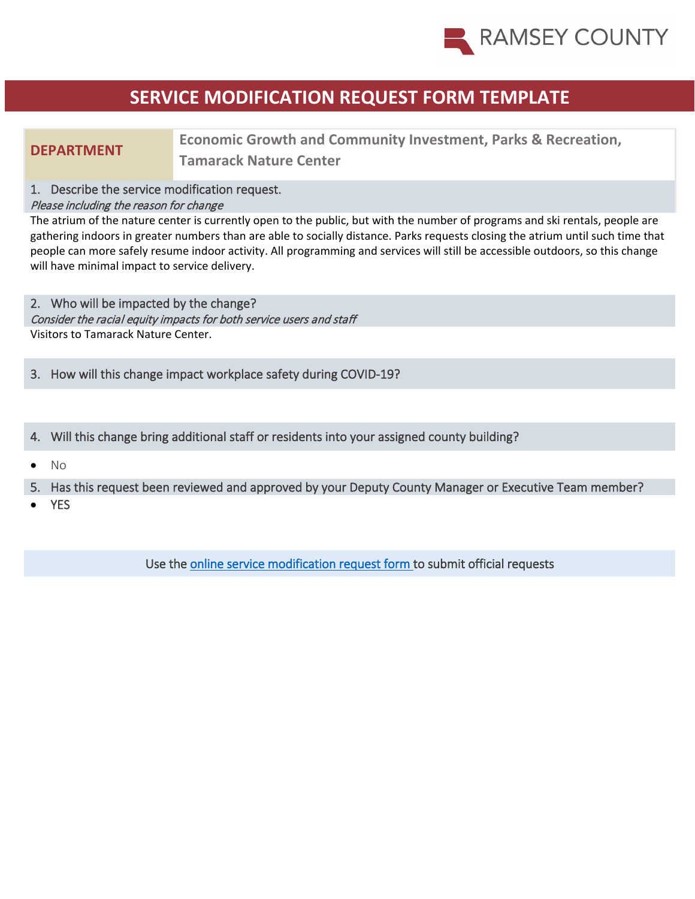

# **SERVICE MODIFICATION REQUEST FORM TEMPLATE**

**Economic Growth and Community Investment, Parks & Recreation, <br>
<b>Expressed Mature Contex Tamarack Nature Center**

### 1. Describe the service modification request.

### Please including the reason for change

The atrium of the nature center is currently open to the public, but with the number of programs and ski rentals, people are gathering indoors in greater numbers than are able to socially distance. Parks requests closing the atrium until such time that people can more safely resume indoor activity. All programming and services will still be accessible outdoors, so this change will have minimal impact to service delivery.

2. Who will be impacted by the change? Consider the racial equity impacts for both service users and staff Visitors to Tamarack Nature Center.

3. How will this change impact workplace safety during COVID-19?

4. Will this change bring additional staff or residents into your assigned county building?

• No

5. Has this request been reviewed and approved by your Deputy County Manager or Executive Team member?

**YES** 

Use the [online service modification request form t](https://ramseynet.us/county-governance/county-manager/covid-19-service-delivery-change-request)o submit official requests